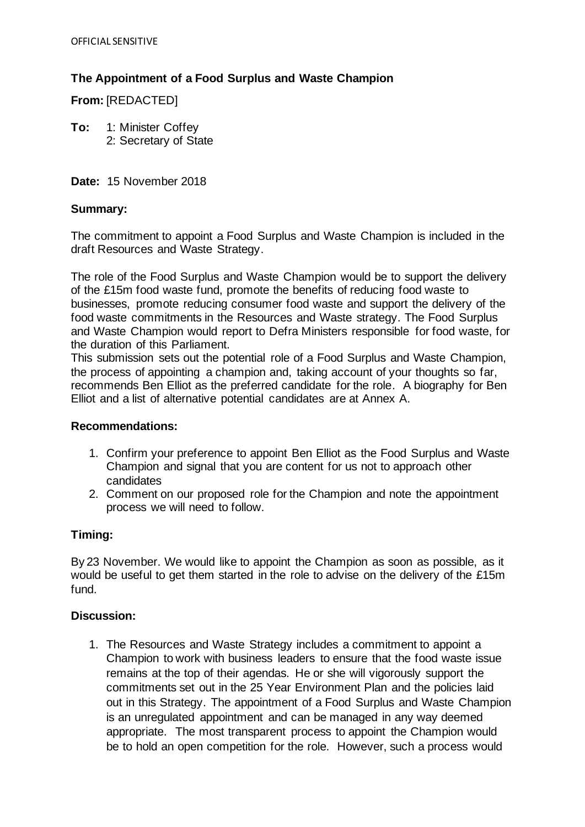# **The Appointment of a Food Surplus and Waste Champion**

**From:** [REDACTED]

**To:** 1: Minister Coffey 2: Secretary of State

**Date:** 15 November 2018

### **Summary:**

The commitment to appoint a Food Surplus and Waste Champion is included in the draft Resources and Waste Strategy.

The role of the Food Surplus and Waste Champion would be to support the delivery of the £15m food waste fund, promote the benefits of reducing food waste to businesses, promote reducing consumer food waste and support the delivery of the food waste commitments in the Resources and Waste strategy. The Food Surplus and Waste Champion would report to Defra Ministers responsible for food waste, for the duration of this Parliament.

This submission sets out the potential role of a Food Surplus and Waste Champion, the process of appointing a champion and, taking account of your thoughts so far, recommends Ben Elliot as the preferred candidate for the role. A biography for Ben Elliot and a list of alternative potential candidates are at Annex A.

## **Recommendations:**

- 1. Confirm your preference to appoint Ben Elliot as the Food Surplus and Waste Champion and signal that you are content for us not to approach other candidates
- 2. Comment on our proposed role for the Champion and note the appointment process we will need to follow.

## **Timing:**

By 23 November. We would like to appoint the Champion as soon as possible, as it would be useful to get them started in the role to advise on the delivery of the £15m fund.

## **Discussion:**

1. The Resources and Waste Strategy includes a commitment to appoint a Champion to work with business leaders to ensure that the food waste issue remains at the top of their agendas. He or she will vigorously support the commitments set out in the 25 Year Environment Plan and the policies laid out in this Strategy. The appointment of a Food Surplus and Waste Champion is an unregulated appointment and can be managed in any way deemed appropriate. The most transparent process to appoint the Champion would be to hold an open competition for the role. However, such a process would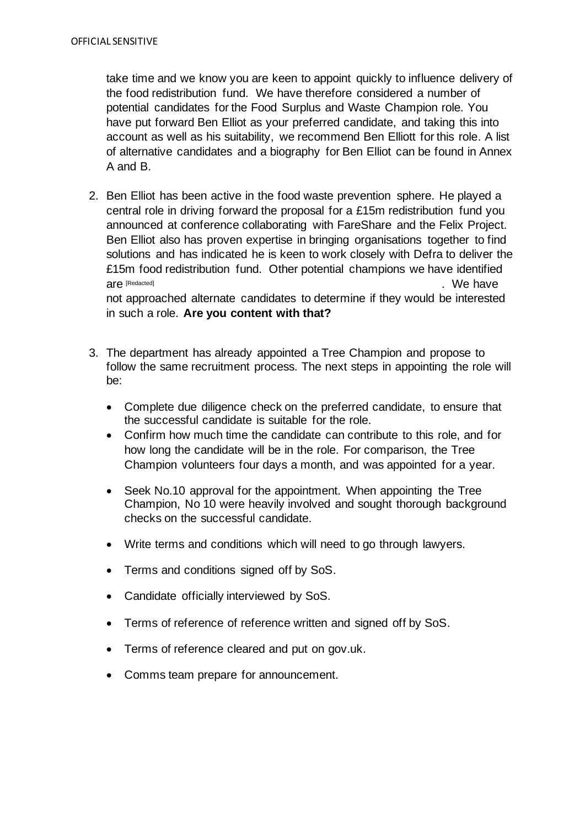take time and we know you are keen to appoint quickly to influence delivery of the food redistribution fund. We have therefore considered a number of potential candidates for the Food Surplus and Waste Champion role. You have put forward Ben Elliot as your preferred candidate, and taking this into account as well as his suitability, we recommend Ben Elliott for this role. A list of alternative candidates and a biography for Ben Elliot can be found in Annex A and B.

- 2. Ben Elliot has been active in the food waste prevention sphere. He played a central role in driving forward the proposal for a £15m redistribution fund you announced at conference collaborating with FareShare and the Felix Project. Ben Elliot also has proven expertise in bringing organisations together to find solutions and has indicated he is keen to work closely with Defra to deliver the £15m food redistribution fund. Other potential champions we have identified . We have not approached alternate candidates to determine if they would be interested in such a role. **Are you content with that?** are [Redacted]
- 3. The department has already appointed a Tree Champion and propose to follow the same recruitment process. The next steps in appointing the role will be:
	- Complete due diligence check on the preferred candidate, to ensure that the successful candidate is suitable for the role.
	- Confirm how much time the candidate can contribute to this role, and for how long the candidate will be in the role. For comparison, the Tree Champion volunteers four days a month, and was appointed for a year.
	- Seek No.10 approval for the appointment. When appointing the Tree Champion, No 10 were heavily involved and sought thorough background checks on the successful candidate.
	- Write terms and conditions which will need to go through lawyers.
	- Terms and conditions signed off by SoS.
	- Candidate officially interviewed by SoS.
	- Terms of reference of reference written and signed off by SoS.
	- Terms of reference cleared and put on gov.uk.
	- Comms team prepare for announcement.